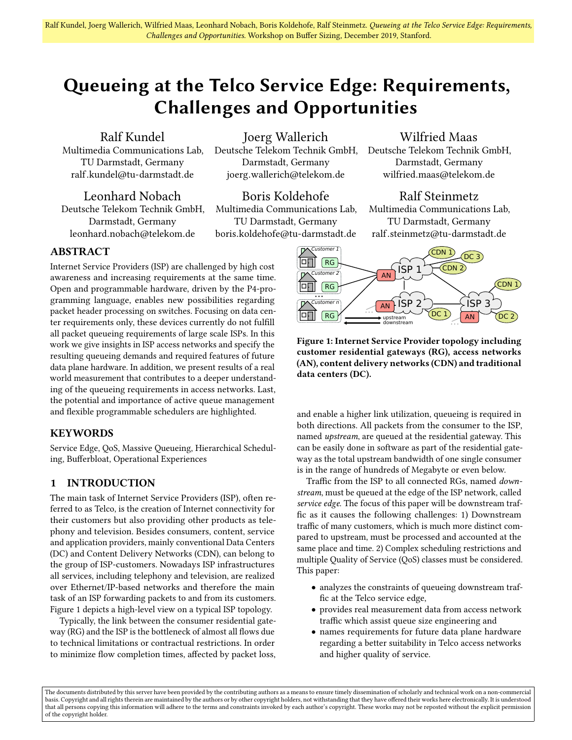# Queueing at the Telco Service Edge: Requirements, Challenges and Opportunities

Ralf Kundel

Multimedia Communications Lab, TU Darmstadt, Germany ralf.kundel@tu-darmstadt.de

Joerg Wallerich Deutsche Telekom Technik GmbH, Darmstadt, Germany joerg.wallerich@telekom.de

Leonhard Nobach Deutsche Telekom Technik GmbH, Darmstadt, Germany leonhard.nobach@telekom.de

Boris Koldehofe Multimedia Communications Lab,

TU Darmstadt, Germany boris.koldehofe@tu-darmstadt.de

# Wilfried Maas

Deutsche Telekom Technik GmbH, Darmstadt, Germany wilfried.maas@telekom.de

# Ralf Steinmetz

Multimedia Communications Lab, TU Darmstadt, Germany ralf.steinmetz@tu-darmstadt.de

# ABSTRACT

Internet Service Providers (ISP) are challenged by high cost awareness and increasing requirements at the same time. Open and programmable hardware, driven by the P4-programming language, enables new possibilities regarding packet header processing on switches. Focusing on data center requirements only, these devices currently do not fulfill all packet queueing requirements of large scale ISPs. In this work we give insights in ISP access networks and specify the resulting queueing demands and required features of future data plane hardware. In addition, we present results of a real world measurement that contributes to a deeper understanding of the queueing requirements in access networks. Last, the potential and importance of active queue management and flexible programmable schedulers are highlighted.

# KEYWORDS

Service Edge, QoS, Massive Queueing, Hierarchical Scheduling, Bufferbloat, Operational Experiences

# 1 INTRODUCTION

The main task of Internet Service Providers (ISP), often referred to as Telco, is the creation of Internet connectivity for their customers but also providing other products as telephony and television. Besides consumers, content, service and application providers, mainly conventional Data Centers (DC) and Content Delivery Networks (CDN), can belong to the group of ISP-customers. Nowadays ISP infrastructures all services, including telephony and television, are realized over Ethernet/IP-based networks and therefore the main task of an ISP forwarding packets to and from its customers. Figure [1](#page-0-0) depicts a high-level view on a typical ISP topology.

Typically, the link between the consumer residential gateway (RG) and the ISP is the bottleneck of almost all flows due to technical limitations or contractual restrictions. In order to minimize flow completion times, affected by packet loss,

<span id="page-0-0"></span>

Figure 1: Internet Service Provider topology including customer residential gateways (RG), access networks (AN), content delivery networks (CDN) and traditional data centers (DC).

and enable a higher link utilization, queueing is required in both directions. All packets from the consumer to the ISP, named upstream, are queued at the residential gateway. This can be easily done in software as part of the residential gateway as the total upstream bandwidth of one single consumer is in the range of hundreds of Megabyte or even below.

Traffic from the ISP to all connected RGs, named downstream, must be queued at the edge of the ISP network, called service edge. The focus of this paper will be downstream traffic as it causes the following challenges: 1) Downstream traffic of many customers, which is much more distinct compared to upstream, must be processed and accounted at the same place and time. 2) Complex scheduling restrictions and multiple Quality of Service (QoS) classes must be considered. This paper:

- analyzes the constraints of queueing downstream traffic at the Telco service edge,
- provides real measurement data from access network traffic which assist queue size engineering and
- names requirements for future data plane hardware regarding a better suitability in Telco access networks and higher quality of service.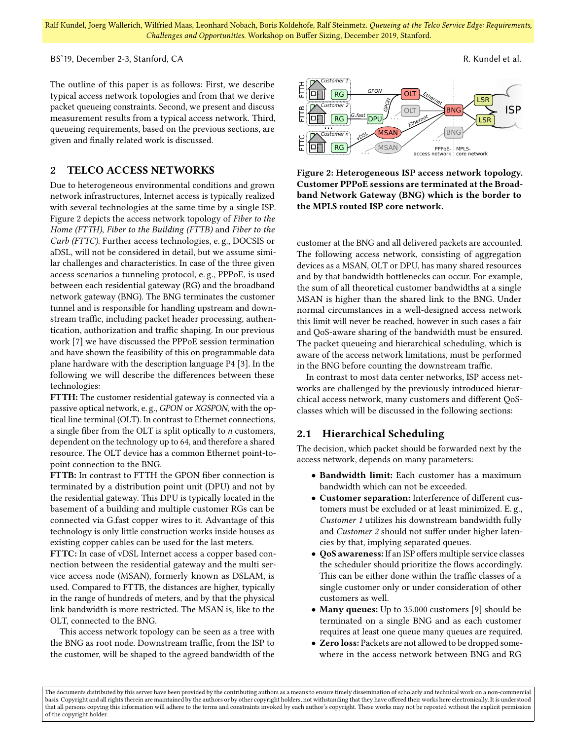BS'19, December 2-3, Stanford, CA R. Kundel et al.

The outline of this paper is as follows: First, we describe typical access network topologies and from that we derive packet queueing constraints. Second, we present and discuss measurement results from a typical access network. Third, queueing requirements, based on the previous sections, are given and finally related work is discussed.

### 2 TELCO ACCESS NETWORKS

Due to heterogeneous environmental conditions and grown network infrastructures, Internet access is typically realized with several technologies at the same time by a single ISP. Figure [2](#page-1-0) depicts the access network topology of Fiber to the Home (FTTH), Fiber to the Building (FTTB) and Fiber to the Curb (FTTC). Further access technologies, e. g., DOCSIS or aDSL, will not be considered in detail, but we assume similar challenges and characteristics. In case of the three given access scenarios a tunneling protocol, e. g., PPPoE, is used between each residential gateway (RG) and the broadband network gateway (BNG). The BNG terminates the customer tunnel and is responsible for handling upstream and downstream traffic, including packet header processing, authentication, authorization and traffic shaping. In our previous work [\[7\]](#page-5-0) we have discussed the PPPoE session termination and have shown the feasibility of this on programmable data plane hardware with the description language P4 [\[3\]](#page-5-1). In the following we will describe the differences between these technologies:

FTTH: The customer residential gateway is connected via a passive optical network, e. g., GPON or XGSPON, with the optical line terminal (OLT). In contrast to Ethernet connections, a single fiber from the OLT is split optically to  $n$  customers, dependent on the technology up to 64, and therefore a shared resource. The OLT device has a common Ethernet point-topoint connection to the BNG.

FTTB: In contrast to FTTH the GPON fiber connection is terminated by a distribution point unit (DPU) and not by the residential gateway. This DPU is typically located in the basement of a building and multiple customer RGs can be connected via G.fast copper wires to it. Advantage of this technology is only little construction works inside houses as existing copper cables can be used for the last meters.

FTTC: In case of vDSL Internet access a copper based connection between the residential gateway and the multi service access node (MSAN), formerly known as DSLAM, is used. Compared to FTTB, the distances are higher, typically in the range of hundreds of meters, and by that the physical link bandwidth is more restricted. The MSAN is, like to the OLT, connected to the BNG.

This access network topology can be seen as a tree with the BNG as root node. Downstream traffic, from the ISP to the customer, will be shaped to the agreed bandwidth of the

<span id="page-1-0"></span>

Figure 2: Heterogeneous ISP access network topology. Customer PPPoE sessions are terminated at the Broadband Network Gateway (BNG) which is the border to the MPLS routed ISP core network.

customer at the BNG and all delivered packets are accounted. The following access network, consisting of aggregation devices as a MSAN, OLT or DPU, has many shared resources and by that bandwidth bottlenecks can occur. For example, the sum of all theoretical customer bandwidths at a single MSAN is higher than the shared link to the BNG. Under normal circumstances in a well-designed access network this limit will never be reached, however in such cases a fair and QoS-aware sharing of the bandwidth must be ensured. The packet queueing and hierarchical scheduling, which is aware of the access network limitations, must be performed in the BNG before counting the downstream traffic.

In contrast to most data center networks, ISP access networks are challenged by the previously introduced hierarchical access network, many customers and different QoSclasses which will be discussed in the following sections:

#### 2.1 Hierarchical Scheduling

The decision, which packet should be forwarded next by the access network, depends on many parameters:

- Bandwidth limit: Each customer has a maximum bandwidth which can not be exceeded.
- Customer separation: Interference of different customers must be excluded or at least minimized. E. g., Customer 1 utilizes his downstream bandwidth fully and Customer 2 should not suffer under higher latencies by that, implying separated queues.
- QoS awareness: If an ISP offers multiple service classes the scheduler should prioritize the flows accordingly. This can be either done within the traffic classes of a single customer only or under consideration of other customers as well.
- Many queues: Up to 35.000 customers [\[9\]](#page-5-2) should be terminated on a single BNG and as each customer requires at least one queue many queues are required.
- Zero loss: Packets are not allowed to be dropped somewhere in the access network between BNG and RG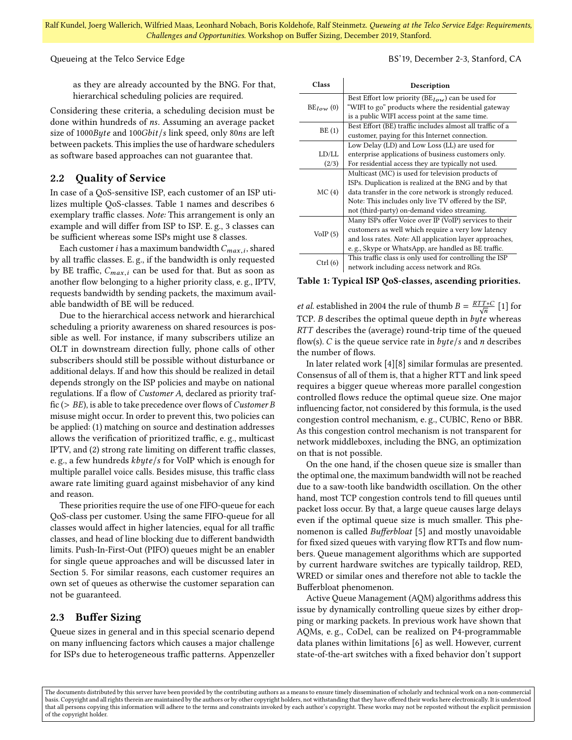Queueing at the Telco Service Edge **BS'19, December 2-3, Stanford, CA** 

as they are already accounted by the BNG. For that, hierarchical scheduling policies are required.

Considering these criteria, a scheduling decision must be done within hundreds of ns. Assuming an average packet size of 1000Byte and 100Gbit/s link speed, only 80ns are left between packets. This implies the use of hardware schedulers as software based approaches can not guarantee that.

## 2.2 Quality of Service

In case of a QoS-sensitive ISP, each customer of an ISP utilizes multiple QoS-classes. Table [1](#page-2-0) names and describes 6 exemplary traffic classes. Note: This arrangement is only an example and will differ from ISP to ISP. E. g., 3 classes can be sufficient whereas some ISPs might use 8 classes.

Each customer *i* has a maximum bandwidth  $C_{max,i}$ , shared<br>all traffic classes  $\overline{F}$  or if the bandwidth is only requested by all traffic classes. E. g., if the bandwidth is only requested by BE traffic,  $C_{max,i}$  can be used for that. But as soon as another flow belonging to a higher priority class, e. g., IPTV, requests bandwidth by sending packets, the maximum available bandwidth of BE will be reduced.

Due to the hierarchical access network and hierarchical scheduling a priority awareness on shared resources is possible as well. For instance, if many subscribers utilize an OLT in downstream direction fully, phone calls of other subscribers should still be possible without disturbance or additional delays. If and how this should be realized in detail depends strongly on the ISP policies and maybe on national regulations. If a flow of Customer A, declared as priority traffic ( $> BE$ ), is able to take precedence over flows of *Customer B* misuse might occur. In order to prevent this, two policies can be applied: (1) matching on source and destination addresses allows the verification of prioritized traffic, e. g., multicast IPTV, and (2) strong rate limiting on different traffic classes, e. g., a few hundreds kbyte/s for VoIP which is enough for multiple parallel voice calls. Besides misuse, this traffic class aware rate limiting guard against misbehavior of any kind and reason.

These priorities require the use of one FIFO-queue for each QoS-class per customer. Using the same FIFO-queue for all classes would affect in higher latencies, equal for all traffic classes, and head of line blocking due to different bandwidth limits. Push-In-First-Out (PIFO) queues might be an enabler for single queue approaches and will be discussed later in Section [5.](#page-5-3) For similar reasons, each customer requires an own set of queues as otherwise the customer separation can not be guaranteed.

## 2.3 Buffer Sizing

Queue sizes in general and in this special scenario depend on many influencing factors which causes a major challenge for ISPs due to heterogeneous traffic patterns. Appenzeller

<span id="page-2-0"></span>

| Class          | Description                                               |  |  |
|----------------|-----------------------------------------------------------|--|--|
|                | Best Effort low priority ( $BE_{low}$ ) can be used for   |  |  |
| $BE_{low}$ (0) | "WIFI to go" products where the residential gateway       |  |  |
|                | is a public WIFI access point at the same time.           |  |  |
|                | Best Effort (BE) traffic includes almost all traffic of a |  |  |
| BE(1)          | customer, paying for this Internet connection.            |  |  |
|                | Low Delay (LD) and Low Loss (LL) are used for             |  |  |
| LD/LL          | enterprise applications of business customers only.       |  |  |
| (2/3)          | For residential access they are typically not used.       |  |  |
|                | Multicast (MC) is used for television products of         |  |  |
|                | ISPs. Duplication is realized at the BNG and by that      |  |  |
| MC(4)          | data transfer in the core network is strongly reduced.    |  |  |
|                | Note: This includes only live TV offered by the ISP,      |  |  |
|                | not (third-party) on-demand video streaming.              |  |  |
|                | Many ISPs offer Voice over IP (VoIP) services to their    |  |  |
| VoIP(5)        | customers as well which require a very low latency        |  |  |
|                | and loss rates. Note: All application layer approaches,   |  |  |
|                | e.g., Skype or WhatsApp, are handled as BE traffic.       |  |  |
|                | This traffic class is only used for controlling the ISP   |  |  |
| Ctrl (6)       | network including access network and RGs.                 |  |  |

Table 1: Typical ISP QoS-classes, ascending priorities.

et al. established in 2004 the rule of thumb  $B = \frac{RTT*C}{\sqrt{n}}$  [\[1\]](#page-5-4) for TCP. B describes the optimal queue depth in byte whereas RTT describes the (average) round-trip time of the queued flow(s). C is the queue service rate in  $byte/s$  and *n* describes the number of flows.

In later related work [\[4\]](#page-5-5)[\[8\]](#page-5-6) similar formulas are presented. Consensus of all of them is, that a higher RTT and link speed requires a bigger queue whereas more parallel congestion controlled flows reduce the optimal queue size. One major influencing factor, not considered by this formula, is the used congestion control mechanism, e. g., CUBIC, Reno or BBR. As this congestion control mechanism is not transparent for network middleboxes, including the BNG, an optimization on that is not possible.

On the one hand, if the chosen queue size is smaller than the optimal one, the maximum bandwidth will not be reached due to a saw-tooth like bandwidth oscillation. On the other hand, most TCP congestion controls tend to fill queues until packet loss occur. By that, a large queue causes large delays even if the optimal queue size is much smaller. This phenomenon is called Bufferbloat [\[5\]](#page-5-7) and mostly unavoidable for fixed sized queues with varying flow RTTs and flow numbers. Queue management algorithms which are supported by current hardware switches are typically taildrop, RED, WRED or similar ones and therefore not able to tackle the Bufferbloat phenomenon.

Active Queue Management (AQM) algorithms address this issue by dynamically controlling queue sizes by either dropping or marking packets. In previous work have shown that AQMs, e. g., CoDel, can be realized on P4-programmable data planes within limitations [\[6\]](#page-5-8) as well. However, current state-of-the-art switches with a fixed behavior don't support

The documents distributed by this server have been provided by the contributing authors as a means to ensure timely dissemination of scholarly and technical work on a non-commercial basis. Copyright and all rights therein are maintained by the authors or by other copyright holders, not withstanding that they have offered their works here electronically. It is understood that all persons copying this information will adhere to the terms and constraints invoked by each author's copyright. These works may not be reposted without the explicit permission of the copyright holder.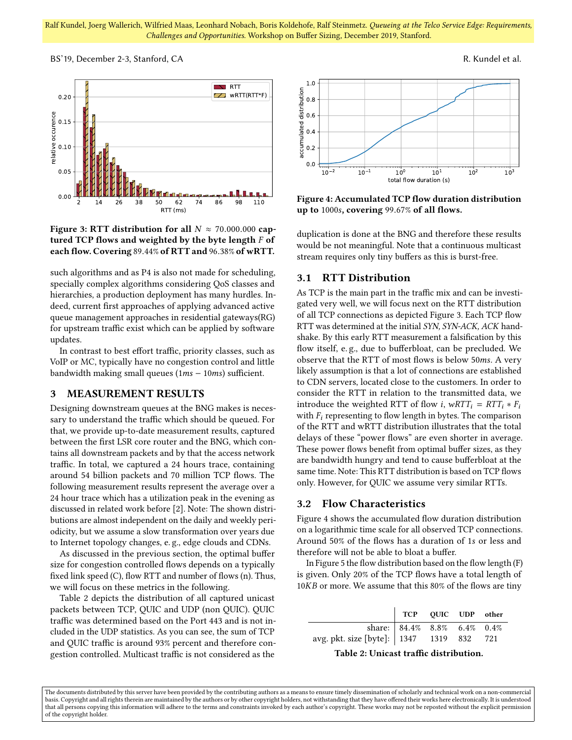BS'19, December 2-3, Stanford, CA R. Kundel et al.

<span id="page-3-1"></span>

Figure 3: RTT distribution for all  $N \approx 70.000.000$  captured TCP flows and weighted by the byte length  $F$  of each flow. Covering <sup>89</sup>.44% of RTT and <sup>96</sup>.38% of wRTT.

such algorithms and as P4 is also not made for scheduling, specially complex algorithms considering QoS classes and hierarchies, a production deployment has many hurdles. Indeed, current first approaches of applying advanced active queue management approaches in residential gateways(RG) for upstream traffic exist which can be applied by software updates.

In contrast to best effort traffic, priority classes, such as VoIP or MC, typically have no congestion control and little bandwidth making small queues (1ms <sup>−</sup> <sup>10</sup>ms) sufficient.

#### 3 MEASUREMENT RESULTS

Designing downstream queues at the BNG makes is necessary to understand the traffic which should be queued. For that, we provide up-to-date measurement results, captured between the first LSR core router and the BNG, which contains all downstream packets and by that the access network traffic. In total, we captured a 24 hours trace, containing around 54 billion packets and 70 million TCP flows. The following measurement results represent the average over a 24 hour trace which has a utilization peak in the evening as discussed in related work before [\[2\]](#page-5-9). Note: The shown distributions are almost independent on the daily and weekly periodicity, but we assume a slow transformation over years due to Internet topology changes, e. g., edge clouds and CDNs.

As discussed in the previous section, the optimal buffer size for congestion controlled flows depends on a typically fixed link speed (C), flow RTT and number of flows (n). Thus, we will focus on these metrics in the following.

Table [2](#page-3-0) depicts the distribution of all captured unicast packets between TCP, QUIC and UDP (non QUIC). QUIC traffic was determined based on the Port 443 and is not included in the UDP statistics. As you can see, the sum of TCP and QUIC traffic is around 93% percent and therefore congestion controlled. Multicast traffic is not considered as the

<span id="page-3-2"></span>

Figure 4: Accumulated TCP flow duration distribution up to <sup>1000</sup>s, covering <sup>99</sup>.67% of all flows.

duplication is done at the BNG and therefore these results would be not meaningful. Note that a continuous multicast stream requires only tiny buffers as this is burst-free.

#### 3.1 RTT Distribution

As TCP is the main part in the traffic mix and can be investigated very well, we will focus next on the RTT distribution of all TCP connections as depicted Figure [3.](#page-3-1) Each TCP flow RTT was determined at the initial SYN, SYN-ACK, ACK handshake. By this early RTT measurement a falsification by this flow itself, e. g., due to bufferbloat, can be precluded. We observe that the RTT of most flows is below <sup>50</sup>ms. A very likely assumption is that a lot of connections are established to CDN servers, located close to the customers. In order to consider the RTT in relation to the transmitted data, we introduce the weighted RTT of flow *i*,  $wRTT_i = RTT_i * F_i$ with  $F_i$  representing to flow length in bytes. The comparison of the RTT and wRTT distribution illustrates that the total delays of these "power flows" are even shorter in average. These power flows benefit from optimal buffer sizes, as they are bandwidth hungry and tend to cause bufferbloat at the same time. Note: This RTT distribution is based on TCP flows only. However, for QUIC we assume very similar RTTs.

# 3.2 Flow Characteristics

Figure [4](#page-3-2) shows the accumulated flow duration distribution on a logarithmic time scale for all observed TCP connections. Around 50% of the flows has a duration of <sup>1</sup>s or less and therefore will not be able to bloat a buffer.

In Figure [5](#page-4-0) the flow distribution based on the flow length (F) is given. Only 20% of the TCP flows have a total length of <sup>10</sup>KB or more. We assume that this 80% of the flows are tiny

<span id="page-3-0"></span>

|                                            | TCP QUIC UDP other          |  |  |
|--------------------------------------------|-----------------------------|--|--|
|                                            | share: 84.4% 8.8% 6.4% 0.4% |  |  |
| avg. pkt. size [byte]:   1347 1319 832 721 |                             |  |  |

Table 2: Unicast traffic distribution.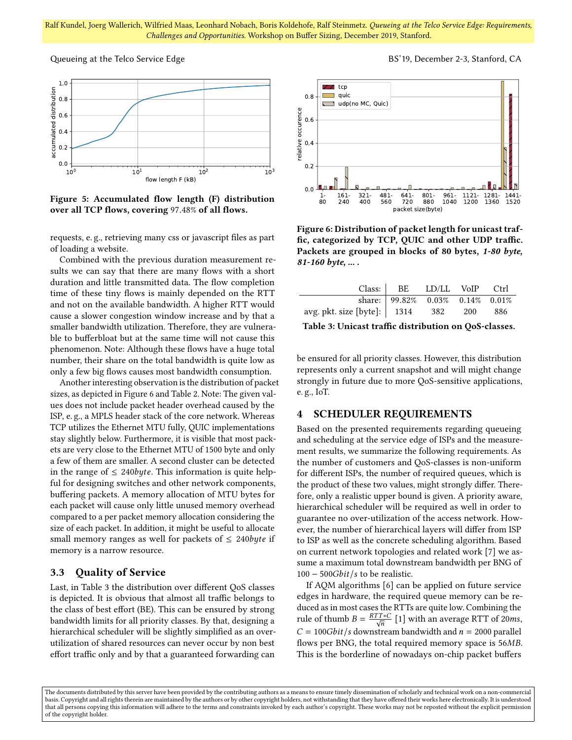<span id="page-4-0"></span>

Figure 5: Accumulated flow length (F) distribution over all TCP flows, covering <sup>97</sup>.48% of all flows.

requests, e. g., retrieving many css or javascript files as part of loading a website.

Combined with the previous duration measurement results we can say that there are many flows with a short duration and little transmitted data. The flow completion time of these tiny flows is mainly depended on the RTT and not on the available bandwidth. A higher RTT would cause a slower congestion window increase and by that a smaller bandwidth utilization. Therefore, they are vulnerable to bufferbloat but at the same time will not cause this phenomenon. Note: Although these flows have a huge total number, their share on the total bandwidth is quite low as only a few big flows causes most bandwidth consumption.

Another interesting observation is the distribution of packet sizes, as depicted in Figure [6](#page-4-1) and Table [2.](#page-3-0) Note: The given values does not include packet header overhead caused by the ISP, e. g., a MPLS header stack of the core network. Whereas TCP utilizes the Ethernet MTU fully, QUIC implementations stay slightly below. Furthermore, it is visible that most packets are very close to the Ethernet MTU of 1500 byte and only a few of them are smaller. A second cluster can be detected in the range of  $\leq 240$ byte. This information is quite helpful for designing switches and other network components, buffering packets. A memory allocation of MTU bytes for each packet will cause only little unused memory overhead compared to a per packet memory allocation considering the size of each packet. In addition, it might be useful to allocate small memory ranges as well for packets of  $\leq 240$ byte if memory is a narrow resource.

# 3.3 Quality of Service

Last, in Table [3](#page-4-2) the distribution over different QoS classes is depicted. It is obvious that almost all traffic belongs to the class of best effort (BE). This can be ensured by strong bandwidth limits for all priority classes. By that, designing a hierarchical scheduler will be slightly simplified as an overutilization of shared resources can never occur by non best effort traffic only and by that a guaranteed forwarding can

<span id="page-4-1"></span>

Figure 6: Distribution of packet length for unicast traffic, categorized by TCP, QUIC and other UDP traffic. Packets are grouped in blocks of 80 bytes, 1-80 byte, 81-160 byte, ... .

<span id="page-4-2"></span>

|                                                                                  | Class: BE LD/LL VoIP Ctrl          |  |  |
|----------------------------------------------------------------------------------|------------------------------------|--|--|
|                                                                                  | share: $99.82\%$ 0.03% 0.14% 0.01% |  |  |
| avg. pkt. size [byte]: $\begin{array}{ c c } 1314 & 382 & 200 & 886 \end{array}$ |                                    |  |  |

Table 3: Unicast traffic distribution on QoS-classes.

be ensured for all priority classes. However, this distribution represents only a current snapshot and will might change strongly in future due to more QoS-sensitive applications, e. g., IoT.

# 4 SCHEDULER REQUIREMENTS

Based on the presented requirements regarding queueing and scheduling at the service edge of ISPs and the measurement results, we summarize the following requirements. As the number of customers and QoS-classes is non-uniform for different ISPs, the number of required queues, which is the product of these two values, might strongly differ. Therefore, only a realistic upper bound is given. A priority aware, hierarchical scheduler will be required as well in order to guarantee no over-utilization of the access network. However, the number of hierarchical layers will differ from ISP to ISP as well as the concrete scheduling algorithm. Based on current network topologies and related work [\[7\]](#page-5-0) we assume a maximum total downstream bandwidth per BNG of  $100 - 500$ Gbit/s to be realistic.

If AQM algorithms [\[6\]](#page-5-8) can be applied on future service edges in hardware, the required queue memory can be reduced as in most cases the RTTs are quite low. Combining the rule of thumb  $B = \frac{RTT * C}{\sqrt{n}}$  [\[1\]](#page-5-4) with an average RTT of 20ms,  $C = 100Gbit/s$  downstream bandwidth and  $n = 2000$  parallel flows per BNG, the total required memory space is <sup>56</sup>MB. This is the borderline of nowadays on-chip packet buffers

Queueing at the Telco Service Edge **BS'19, December 2-3, Stanford, CA** 

The documents distributed by this server have been provided by the contributing authors as a means to ensure timely dissemination of scholarly and technical work on a non-commercial basis. Copyright and all rights therein are maintained by the authors or by other copyright holders, not withstanding that they have offered their works here electronically. It is understood that all persons copying this information will adhere to the terms and constraints invoked by each author's copyright. These works may not be reposted without the explicit permission of the copyright holder.